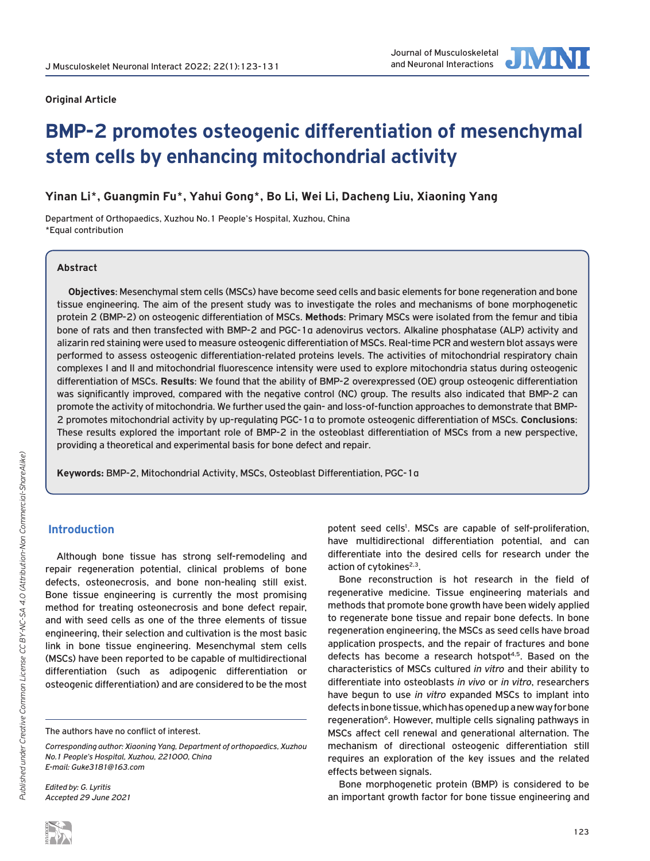

#### **Original Article**

# **BMP-2 promotes osteogenic differentiation of mesenchymal stem cells by enhancing mitochondrial activity**

# **Yinan Li\*, Guangmin Fu\*, Yahui Gong\*, Bo Li, Wei Li, Dacheng Liu, Xiaoning Yang**

Department of Orthopaedics, Xuzhou No.1 People's Hospital, Xuzhou, China \*Equal contribution

#### **Abstract**

**Objectives**: Mesenchymal stem cells (MSCs) have become seed cells and basic elements for bone regeneration and bone tissue engineering. The aim of the present study was to investigate the roles and mechanisms of bone morphogenetic protein 2 (BMP-2) on osteogenic differentiation of MSCs. **Methods**: Primary MSCs were isolated from the femur and tibia bone of rats and then transfected with BMP-2 and PGC-1α adenovirus vectors. Alkaline phosphatase (ALP) activity and alizarin red staining were used to measure osteogenic differentiation of MSCs. Real-time PCR and western blot assays were performed to assess osteogenic differentiation-related proteins levels. The activities of mitochondrial respiratory chain complexes I and II and mitochondrial fluorescence intensity were used to explore mitochondria status during osteogenic differentiation of MSCs. **Results**: We found that the ability of BMP-2 overexpressed (OE) group osteogenic differentiation was significantly improved, compared with the negative control (NC) group. The results also indicated that BMP-2 can promote the activity of mitochondria. We further used the gain- and loss-of-function approaches to demonstrate that BMP-2 promotes mitochondrial activity by up-regulating PGC-1α to promote osteogenic differentiation of MSCs. **Conclusions**: These results explored the important role of BMP-2 in the osteoblast differentiation of MSCs from a new perspective, providing a theoretical and experimental basis for bone defect and repair.

**Keywords:** BMP-2, Mitochondrial Activity, MSCs, Osteoblast Differentiation, PGC-1α

#### **Introduction**

Although bone tissue has strong self-remodeling and repair regeneration potential, clinical problems of bone defects, osteonecrosis, and bone non-healing still exist. Bone tissue engineering is currently the most promising method for treating osteonecrosis and bone defect repair, and with seed cells as one of the three elements of tissue engineering, their selection and cultivation is the most basic link in bone tissue engineering. Mesenchymal stem cells (MSCs) have been reported to be capable of multidirectional differentiation (such as adipogenic differentiation or osteogenic differentiation) and are considered to be the most

*Edited by: G. Lyritis Accepted 29 June 2021*

potent seed cells<sup>1</sup>. MSCs are capable of self-proliferation, have multidirectional differentiation potential, and can differentiate into the desired cells for research under the action of cytokines<sup>2,3</sup>.

Bone reconstruction is hot research in the field of regenerative medicine. Tissue engineering materials and methods that promote bone growth have been widely applied to regenerate bone tissue and repair bone defects. In bone regeneration engineering, the MSCs as seed cells have broad application prospects, and the repair of fractures and bone defects has become a research hotspot<sup>4,5</sup>. Based on the characteristics of MSCs cultured *in vitro* and their ability to differentiate into osteoblasts *in vivo* or *in vitro*, researchers have begun to use *in vitro* expanded MSCs to implant into defects in bone tissue, which has opened up a new way for bone regeneration<sup>6</sup>. However, multiple cells signaling pathways in MSCs affect cell renewal and generational alternation. The mechanism of directional osteogenic differentiation still requires an exploration of the key issues and the related effects between signals.

Bone morphogenetic protein (BMP) is considered to be an important growth factor for bone tissue engineering and

The authors have no conflict of interest.

*Corresponding author: Xiaoning Yang, Department of orthopaedics, Xuzhou No.1 People's Hospital, Xuzhou, 221000, China E-mail: Guke3181@163.com*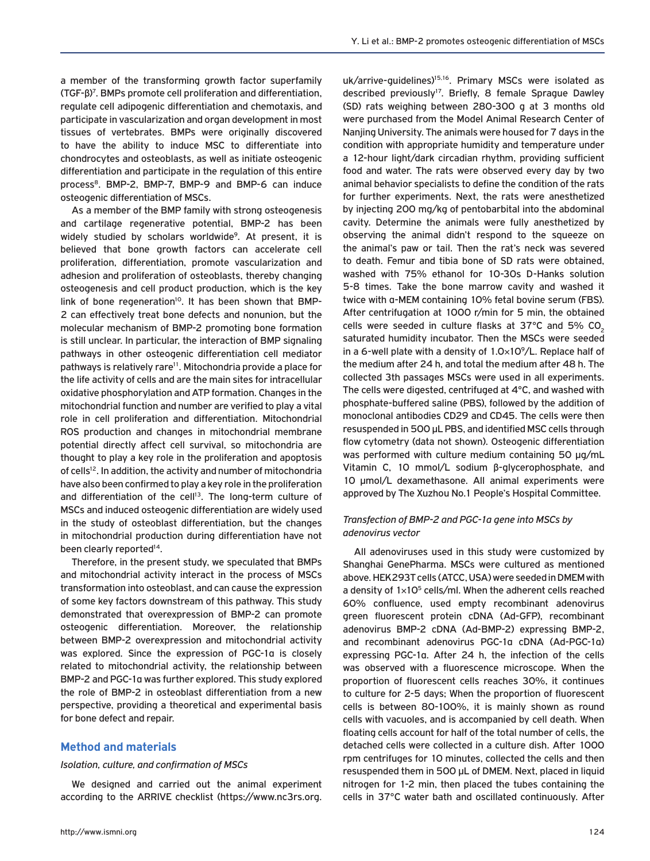a member of the transforming growth factor superfamily (TGF-β)7 . BMPs promote cell proliferation and differentiation, regulate cell adipogenic differentiation and chemotaxis, and participate in vascularization and organ development in most tissues of vertebrates. BMPs were originally discovered to have the ability to induce MSC to differentiate into chondrocytes and osteoblasts, as well as initiate osteogenic differentiation and participate in the regulation of this entire process<sup>8</sup>, BMP-2, BMP-7, BMP-9 and BMP-6 can induce osteogenic differentiation of MSCs.

As a member of the BMP family with strong osteogenesis and cartilage regenerative potential, BMP-2 has been widely studied by scholars worldwide<sup>9</sup>. At present, it is believed that bone growth factors can accelerate cell proliferation, differentiation, promote vascularization and adhesion and proliferation of osteoblasts, thereby changing osteogenesis and cell product production, which is the key link of bone regeneration<sup>10</sup>. It has been shown that BMP-2 can effectively treat bone defects and nonunion, but the molecular mechanism of BMP-2 promoting bone formation is still unclear. In particular, the interaction of BMP signaling pathways in other osteogenic differentiation cell mediator pathways is relatively rare<sup>11</sup>. Mitochondria provide a place for the life activity of cells and are the main sites for intracellular oxidative phosphorylation and ATP formation. Changes in the mitochondrial function and number are verified to play a vital role in cell proliferation and differentiation. Mitochondrial ROS production and changes in mitochondrial membrane potential directly affect cell survival, so mitochondria are thought to play a key role in the proliferation and apoptosis of cells<sup>12</sup>. In addition, the activity and number of mitochondria have also been confirmed to play a key role in the proliferation and differentiation of the cell<sup>13</sup>. The long-term culture of MSCs and induced osteogenic differentiation are widely used in the study of osteoblast differentiation, but the changes in mitochondrial production during differentiation have not been clearly reported<sup>14</sup>.

Therefore, in the present study, we speculated that BMPs and mitochondrial activity interact in the process of MSCs transformation into osteoblast, and can cause the expression of some key factors downstream of this pathway. This study demonstrated that overexpression of BMP-2 can promote osteogenic differentiation. Moreover, the relationship between BMP-2 overexpression and mitochondrial activity was explored. Since the expression of PGC-1α is closely related to mitochondrial activity, the relationship between BMP-2 and PGC-1α was further explored. This study explored the role of BMP-2 in osteoblast differentiation from a new perspective, providing a theoretical and experimental basis for bone defect and repair.

#### **Method and materials**

#### *Isolation, culture, and confirmation of MSCs*

We designed and carried out the animal experiment according to the ARRIVE checklist (https://www.nc3rs.org. uk/arrive-guidelines)<sup>15,16</sup>. Primary MSCs were isolated as described previously<sup>17</sup>. Briefly, 8 female Sprague Dawley (SD) rats weighing between 280-300 g at 3 months old were purchased from the Model Animal Research Center of Nanjing University. The animals were housed for 7 days in the condition with appropriate humidity and temperature under a 12-hour light/dark circadian rhythm, providing sufficient food and water. The rats were observed every day by two animal behavior specialists to define the condition of the rats for further experiments. Next, the rats were anesthetized by injecting 200 mg/kg of pentobarbital into the abdominal cavity. Determine the animals were fully anesthetized by observing the animal didn't respond to the squeeze on the animal's paw or tail. Then the rat's neck was severed to death. Femur and tibia bone of SD rats were obtained, washed with 75% ethanol for 10-30s D-Hanks solution 5-8 times. Take the bone marrow cavity and washed it twice with α-MEM containing 10% fetal bovine serum (FBS). After centrifugation at 1000 r/min for 5 min, the obtained cells were seeded in culture flasks at  $37^{\circ}$ C and  $5\%$  CO<sub>2</sub> saturated humidity incubator. Then the MSCs were seeded in a 6-well plate with a density of 1.0×109/L. Replace half of the medium after 24 h, and total the medium after 48 h. The collected 3th passages MSCs were used in all experiments. The cells were digested, centrifuged at 4°C, and washed with phosphate-buffered saline (PBS), followed by the addition of monoclonal antibodies CD29 and CD45. The cells were then resuspended in 500 μL PBS, and identified MSC cells through flow cytometry (data not shown). Osteogenic differentiation was performed with culture medium containing 50 μg/mL Vitamin C, 10 mmol/L sodium β-glycerophosphate, and 10 μmol/L dexamethasone. All animal experiments were approved by The Xuzhou No.1 People's Hospital Committee.

#### *Transfection of BMP-2 and PGC-1α gene into MSCs by adenovirus vector*

All adenoviruses used in this study were customized by Shanghai GenePharma. MSCs were cultured as mentioned above. HEK293T cells (ATCC, USA) were seeded in DMEM with a density of  $1\times10^5$  cells/ml. When the adherent cells reached 60% confluence, used empty recombinant adenovirus green fluorescent protein cDNA (Ad-GFP), recombinant adenovirus BMP-2 cDNA (Ad-BMP-2) expressing BMP-2, and recombinant adenovirus PGC-1α cDNA (Ad-PGC-1α) expressing PGC-1α. After 24 h, the infection of the cells was observed with a fluorescence microscope. When the proportion of fluorescent cells reaches 30%, it continues to culture for 2-5 days; When the proportion of fluorescent cells is between 80-100%, it is mainly shown as round cells with vacuoles, and is accompanied by cell death. When floating cells account for half of the total number of cells, the detached cells were collected in a culture dish. After 1000 rpm centrifuges for 10 minutes, collected the cells and then resuspended them in 500 µL of DMEM. Next, placed in liquid nitrogen for 1-2 min, then placed the tubes containing the cells in 37°C water bath and oscillated continuously. After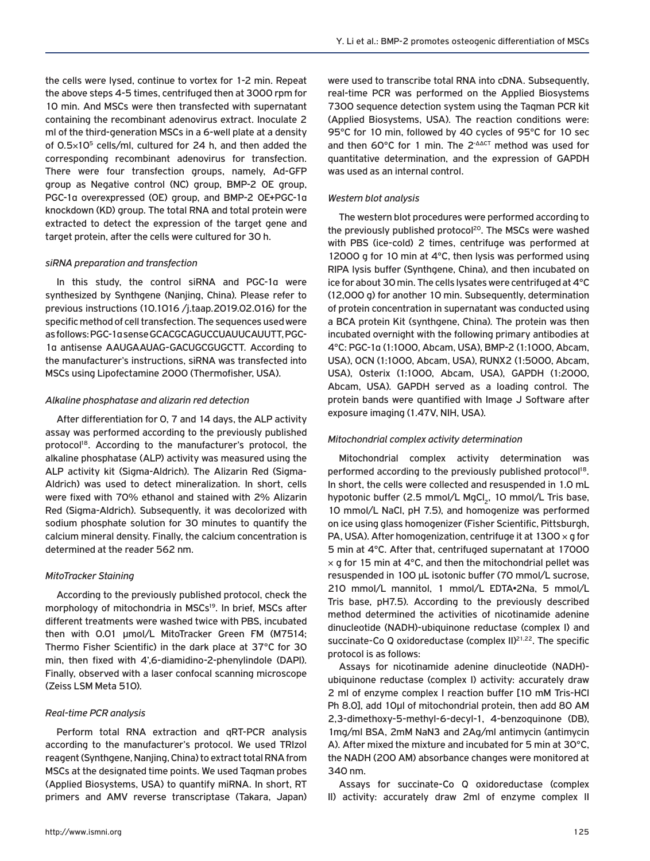the cells were lysed, continue to vortex for 1-2 min. Repeat the above steps 4-5 times, centrifuged then at 3000 rpm for 10 min. And MSCs were then transfected with supernatant containing the recombinant adenovirus extract. Inoculate 2 ml of the third-generation MSCs in a 6-well plate at a density of  $0.5 \times 10^5$  cells/ml, cultured for 24 h, and then added the corresponding recombinant adenovirus for transfection. There were four transfection groups, namely, Ad-GFP group as Negative control (NC) group, BMP-2 OE group, PGC-1α overexpressed (OE) group, and BMP-2 OE+PGC-1α knockdown (KD) group. The total RNA and total protein were extracted to detect the expression of the target gene and target protein, after the cells were cultured for 30 h.

#### *siRNA preparation and transfection*

In this study, the control siRNA and PGC-1α were synthesized by Synthgene (Nanjing, China). Please refer to previous instructions (10.1016 /j.taap.2019.02.016) for the specific method of cell transfection. The sequences used were as follows: PGC-1α sense GCACGCAGUCCUAUUCAUUTT, PGC-1α antisense AAUGAAUAG-GACUGCGUGCTT. According to the manufacturer's instructions, siRNA was transfected into MSCs using Lipofectamine 2000 (Thermofisher, USA).

#### *Alkaline phosphatase and alizarin red detection*

After differentiation for 0, 7 and 14 days, the ALP activity assay was performed according to the previously published protocol<sup>18</sup>. According to the manufacturer's protocol, the alkaline phosphatase (ALP) activity was measured using the ALP activity kit (Sigma-Aldrich). The Alizarin Red (Sigma-Aldrich) was used to detect mineralization. In short, cells were fixed with 70% ethanol and stained with 2% Alizarin Red (Sigma-Aldrich). Subsequently, it was decolorized with sodium phosphate solution for 30 minutes to quantify the calcium mineral density. Finally, the calcium concentration is determined at the reader 562 nm.

## *MitoTracker Staining*

According to the previously published protocol, check the morphology of mitochondria in MSCs<sup>19</sup>. In brief, MSCs after different treatments were washed twice with PBS, incubated then with 0.01 µmol/L MitoTracker Green FM (M7514; Thermo Fisher Scientific) in the dark place at 37°C for 30 min, then fixed with 4',6-diamidino-2-phenylindole (DAPI). Finally, observed with a laser confocal scanning microscope (Zeiss LSM Meta 510).

## *Real-time PCR analysis*

Perform total RNA extraction and qRT-PCR analysis according to the manufacturer's protocol. We used TRIzol reagent (Synthgene, Nanjing, China) to extract total RNA from MSCs at the designated time points. We used Taqman probes (Applied Biosystems, USA) to quantify miRNA. In short, RT primers and AMV reverse transcriptase (Takara, Japan) were used to transcribe total RNA into cDNA. Subsequently, real-time PCR was performed on the Applied Biosystems 7300 sequence detection system using the Taqman PCR kit (Applied Biosystems, USA). The reaction conditions were: 95°C for 10 min, followed by 40 cycles of 95°C for 10 sec and then 60°C for 1 min. The 2-ΔΔCT method was used for quantitative determination, and the expression of GAPDH was used as an internal control.

#### *Western blot analysis*

The western blot procedures were performed according to the previously published protocol<sup>20</sup>. The MSCs were washed with PBS (ice-cold) 2 times, centrifuge was performed at 12000 g for 10 min at 4°C, then lysis was performed using RIPA lysis buffer (Synthgene, China), and then incubated on ice for about 30 min. The cells lysates were centrifuged at 4°C (12,000 g) for another 10 min. Subsequently, determination of protein concentration in supernatant was conducted using a BCA protein Kit (synthgene, China). The protein was then incubated overnight with the following primary antibodies at 4°C: PGC-1α (1:1000, Abcam, USA), BMP-2 (1:1000, Abcam, USA), OCN (1:1000, Abcam, USA), RUNX2 (1:5000, Abcam, USA), Osterix (1:1000, Abcam, USA), GAPDH (1:2000, Abcam, USA). GAPDH served as a loading control. The protein bands were quantified with Image J Software after exposure imaging (1.47V, NIH, USA).

## *Mitochondrial complex activity determination*

Mitochondrial complex activity determination was performed according to the previously published protocol<sup>18</sup>. In short, the cells were collected and resuspended in 1.0 mL hypotonic buffer (2.5 mmol/L MgCl<sub>2</sub>, 10 mmol/L Tris base, 10 mmol/L NaCl, pH 7.5), and homogenize was performed on ice using glass homogenizer (Fisher Scientific, Pittsburgh, PA, USA). After homogenization, centrifuge it at  $1300 \times q$  for 5 min at 4°C. After that, centrifuged supernatant at 17000  $\times$  g for 15 min at 4 $\degree$ C, and then the mitochondrial pellet was resuspended in 100 μL isotonic buffer (70 mmol/L sucrose, 210 mmol/L mannitol, 1 mmol/L EDTA•2Na, 5 mmol/L Tris base, pH7.5). According to the previously described method determined the activities of nicotinamide adenine dinucleotide (NADH)-ubiquinone reductase (complex I) and succinate-Co Q oxidoreductase (complex II)<sup>21,22</sup>. The specific protocol is as follows:

Assays for nicotinamide adenine dinucleotide (NADH) ubiquinone reductase (complex I) activity: accurately draw 2 ml of enzyme complex I reaction buffer [10 mM Tris-HCl Ph 8.0], add 10μl of mitochondrial protein, then add 80 AM 2,3-dimethoxy-5-methyl-6-decyl-1, 4-benzoquinone (DB), 1mg/ml BSA, 2mM NaN3 and 2Ag/ml antimycin (antimycin A). After mixed the mixture and incubated for 5 min at 30°C, the NADH (200 AM) absorbance changes were monitored at 340 nm.

Assays for succinate-Co Q oxidoreductase (complex II) activity: accurately draw 2ml of enzyme complex II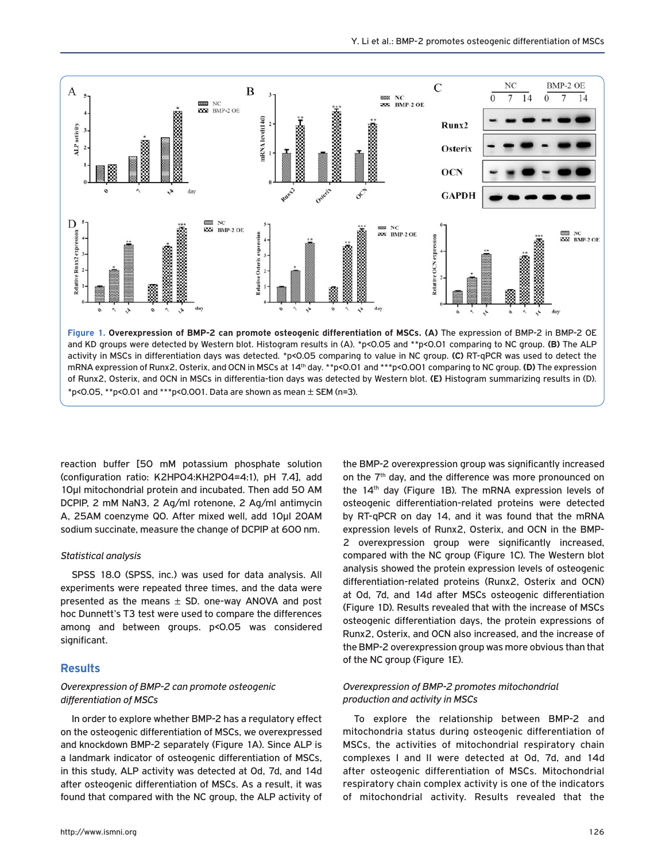

activity in MSCs in differentiation days was detected. \*p<0.05 comparing to value in NC group. **(C)** RT-qPCR was used to detect the mRNA expression of Runx2, Osterix, and OCN in MSCs at 14th day. \*\*p<0.01 and \*\*\*p<0.001 comparing to NC group. **(D)** The expression of Runx2, Osterix, and OCN in MSCs in differentia-tion days was detected by Western blot. **(E)** Histogram summarizing results in (D).  $*p$ <0.05,  $*p$ <0.01 and  $**p$ <0.001. Data are shown as mean  $\pm$  SEM (n=3).

reaction buffer [50 mM potassium phosphate solution (configuration ratio: K2HPO4:KH2PO4=4:1), pH 7.4], add 10μl mitochondrial protein and incubated. Then add 50 AM DCPIP, 2 mM NaN3, 2 Ag/ml rotenone, 2 Ag/ml antimycin A, 25AM coenzyme Q0. After mixed well, add 10μl 20AM sodium succinate, measure the change of DCPIP at 600 nm.

#### *Statistical analysis*

SPSS 18.0 (SPSS, inc.) was used for data analysis. All experiments were repeated three times, and the data were presented as the means  $\pm$  SD. one-way ANOVA and post hoc Dunnett's T3 test were used to compare the differences among and between groups. p<0.05 was considered significant.

#### **Results**

#### *Overexpression of BMP-2 can promote osteogenic differentiation of MSCs*

In order to explore whether BMP-2 has a regulatory effect on the osteogenic differentiation of MSCs, we overexpressed and knockdown BMP-2 separately (Figure 1A). Since ALP is a landmark indicator of osteogenic differentiation of MSCs, in this study, ALP activity was detected at 0d, 7d, and 14d after osteogenic differentiation of MSCs. As a result, it was found that compared with the NC group, the ALP activity of on the 7<sup>th</sup> day, and the difference was more pronounced on the 14th day (Figure 1B). The mRNA expression levels of osteogenic differentiation-related proteins were detected by RT-qPCR on day 14, and it was found that the mRNA expression levels of Runx2, Osterix, and OCN in the BMP-2 overexpression group were significantly increased, compared with the NC group (Figure 1C). The Western blot analysis showed the protein expression levels of osteogenic differentiation-related proteins (Runx2, Osterix and OCN) at 0d, 7d, and 14d after MSCs osteogenic differentiation (Figure 1D). Results revealed that with the increase of MSCs osteogenic differentiation days, the protein expressions of Runx2, Osterix, and OCN also increased, and the increase of the BMP-2 overexpression group was more obvious than that of the NC group (Figure 1E).

the BMP-2 overexpression group was significantly increased

#### *Overexpression of BMP-2 promotes mitochondrial production and activity in MSCs*

To explore the relationship between BMP-2 and mitochondria status during osteogenic differentiation of MSCs, the activities of mitochondrial respiratory chain complexes I and II were detected at 0d, 7d, and 14d after osteogenic differentiation of MSCs. Mitochondrial respiratory chain complex activity is one of the indicators of mitochondrial activity. Results revealed that the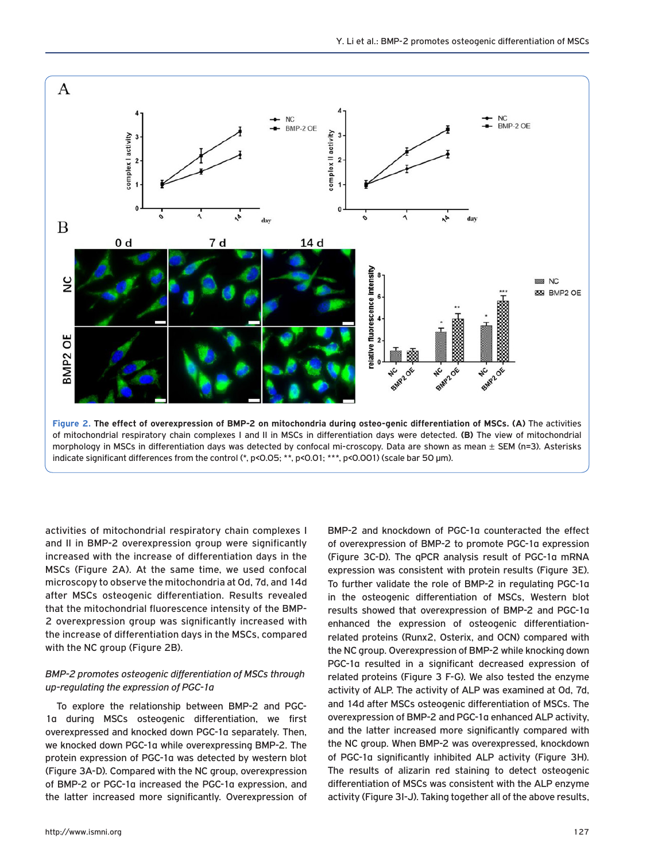

activities of mitochondrial respiratory chain complexes I and II in BMP-2 overexpression group were significantly increased with the increase of differentiation days in the MSCs (Figure 2A). At the same time, we used confocal microscopy to observe the mitochondria at 0d, 7d, and 14d after MSCs osteogenic differentiation. Results revealed that the mitochondrial fluorescence intensity of the BMP-2 overexpression group was significantly increased with the increase of differentiation days in the MSCs, compared with the NC group (Figure 2B).

#### *BMP-2 promotes osteogenic differentiation of MSCs through up-regulating the expression of PGC-1α*

To explore the relationship between BMP-2 and PGC-1α during MSCs osteogenic differentiation, we first overexpressed and knocked down PGC-1α separately. Then, we knocked down PGC-1α while overexpressing BMP-2. The protein expression of PGC-1α was detected by western blot (Figure 3A-D). Compared with the NC group, overexpression of BMP-2 or PGC-1α increased the PGC-1α expression, and the latter increased more significantly. Overexpression of BMP-2 and knockdown of PGC-1α counteracted the effect of overexpression of BMP-2 to promote PGC-1α expression (Figure 3C-D). The qPCR analysis result of PGC-1α mRNA expression was consistent with protein results (Figure 3E). To further validate the role of BMP-2 in regulating PGC-1α in the osteogenic differentiation of MSCs, Western blot results showed that overexpression of BMP-2 and PGC-1α enhanced the expression of osteogenic differentiationrelated proteins (Runx2, Osterix, and OCN) compared with the NC group. Overexpression of BMP-2 while knocking down PGC-1α resulted in a significant decreased expression of related proteins (Figure 3 F-G). We also tested the enzyme activity of ALP. The activity of ALP was examined at 0d, 7d, and 14d after MSCs osteogenic differentiation of MSCs. The overexpression of BMP-2 and PGC-1α enhanced ALP activity, and the latter increased more significantly compared with the NC group. When BMP-2 was overexpressed, knockdown of PGC-1α significantly inhibited ALP activity (Figure 3H). The results of alizarin red staining to detect osteogenic differentiation of MSCs was consistent with the ALP enzyme activity (Figure 3I-J). Taking together all of the above results,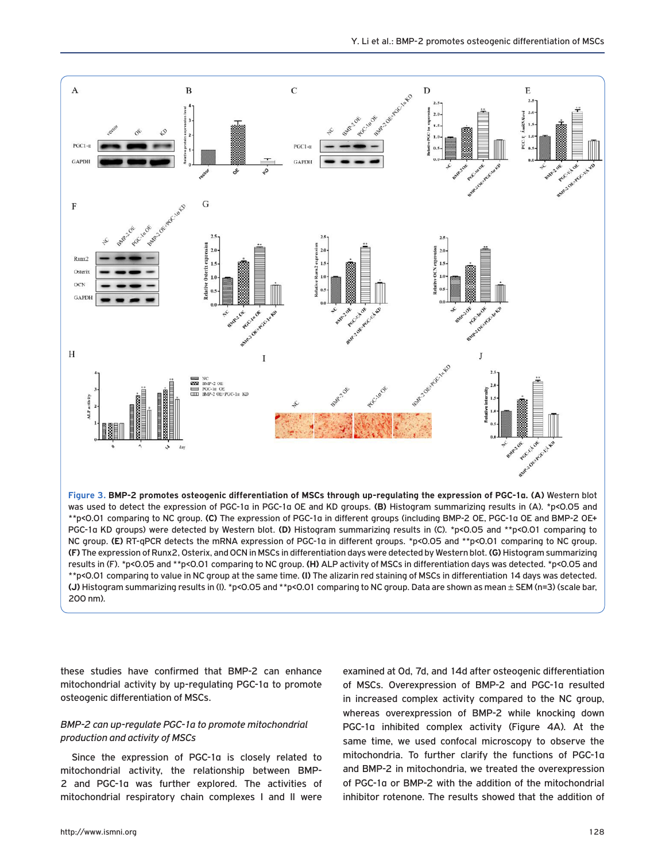

\*\*p<0.01 comparing to NC group. **(C)** The expression of PGC-1α in different groups (including BMP-2 OE, PGC-1α OE and BMP-2 OE+ PGC-1α KD groups) were detected by Western blot. **(D)** Histogram summarizing results in (C). \*p<0.05 and \*\*p<0.01 comparing to NC group. **(E)** RT-qPCR detects the mRNA expression of PGC-1α in different groups. \*p<0.05 and \*\*p<0.01 comparing to NC group. **(F)** The expression of Runx2, Osterix, and OCN in MSCs in differentiation days were detected by Western blot. **(G)** Histogram summarizing results in (F). \*p<0.05 and \*\*p<0.01 comparing to NC group. **(H)** ALP activity of MSCs in differentiation days was detected. \*p<0.05 and \*\*p<0.01 comparing to value in NC group at the same time. **(I)** The alizarin red staining of MSCs in differentiation 14 days was detected. **(J)** Histogram summarizing results in (I). \*p<0.05 and \*\*p<0.01 comparing to NC group. Data are shown as mean ± SEM (n=3) (scale bar, 200 nm).

these studies have confirmed that BMP-2 can enhance mitochondrial activity by up-regulating PGC-1α to promote osteogenic differentiation of MSCs.

#### *BMP-2 can up-regulate PGC-1α to promote mitochondrial production and activity of MSCs*

Since the expression of PGC-1α is closely related to mitochondrial activity, the relationship between BMP-2 and PGC-1α was further explored. The activities of mitochondrial respiratory chain complexes I and II were examined at 0d, 7d, and 14d after osteogenic differentiation of MSCs. Overexpression of BMP-2 and PGC-1α resulted in increased complex activity compared to the NC group, whereas overexpression of BMP-2 while knocking down PGC-1α inhibited complex activity (Figure 4A). At the same time, we used confocal microscopy to observe the mitochondria. To further clarify the functions of PGC-1α and BMP-2 in mitochondria, we treated the overexpression of PGC-1α or BMP-2 with the addition of the mitochondrial inhibitor rotenone. The results showed that the addition of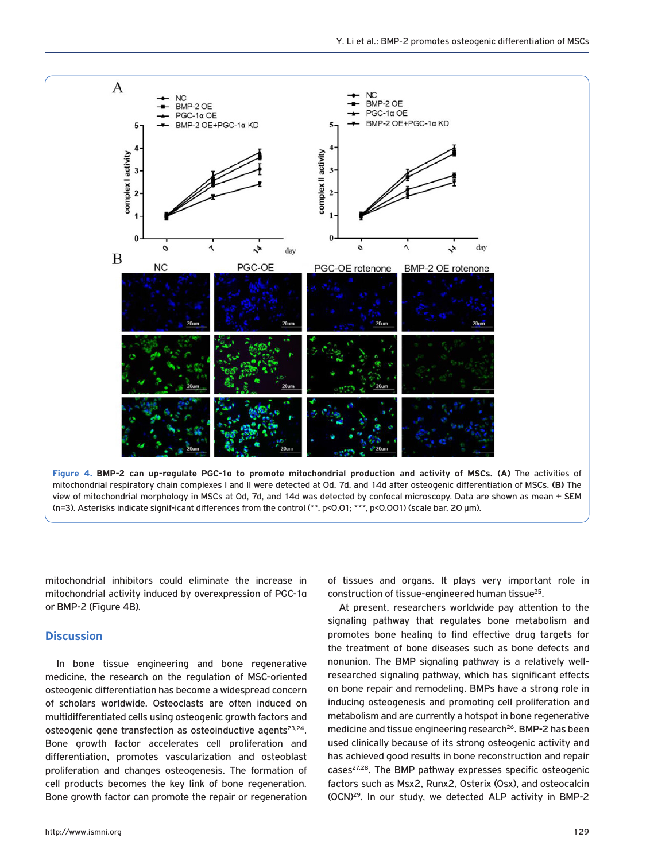

**Figure 4. BMP-2 can up-regulate PGC-1α to promote mitochondrial production and activity of MSCs. (A)** The activities of mitochondrial respiratory chain complexes I and II were detected at 0d, 7d, and 14d after osteogenic differentiation of MSCs. **(B)** The view of mitochondrial morphology in MSCs at Od, 7d, and 14d was detected by confocal microscopy. Data are shown as mean  $\pm$  SEM (n=3). Asterisks indicate signif-icant differences from the control (\*\*, p<0.01; \*\*\*, p<0.001) (scale bar, 20 μm).

mitochondrial inhibitors could eliminate the increase in mitochondrial activity induced by overexpression of PGC-1α or BMP-2 (Figure 4B).

## **Discussion**

In bone tissue engineering and bone regenerative medicine, the research on the regulation of MSC-oriented osteogenic differentiation has become a widespread concern of scholars worldwide. Osteoclasts are often induced on multidifferentiated cells using osteogenic growth factors and osteogenic gene transfection as osteoinductive agents<sup>23,24</sup>. Bone growth factor accelerates cell proliferation and differentiation, promotes vascularization and osteoblast proliferation and changes osteogenesis. The formation of cell products becomes the key link of bone regeneration. Bone growth factor can promote the repair or regeneration

of tissues and organs. It plays very important role in construction of tissue-engineered human tissue25.

At present, researchers worldwide pay attention to the signaling pathway that regulates bone metabolism and promotes bone healing to find effective drug targets for the treatment of bone diseases such as bone defects and nonunion. The BMP signaling pathway is a relatively wellresearched signaling pathway, which has significant effects on bone repair and remodeling. BMPs have a strong role in inducing osteogenesis and promoting cell proliferation and metabolism and are currently a hotspot in bone regenerative medicine and tissue engineering research<sup>26</sup>. BMP-2 has been used clinically because of its strong osteogenic activity and has achieved good results in bone reconstruction and repair cases<sup>27,28</sup>. The BMP pathway expresses specific osteogenic factors such as Msx2, Runx2, Osterix (Osx), and osteocalcin (OCN)29. In our study, we detected ALP activity in BMP-2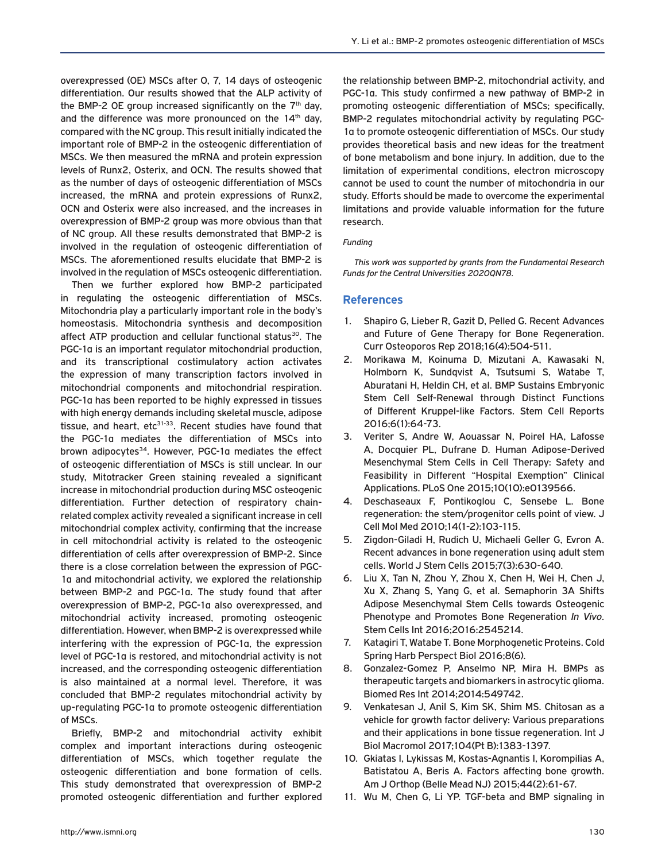overexpressed (OE) MSCs after 0, 7, 14 days of osteogenic differentiation. Our results showed that the ALP activity of the BMP-2 OE group increased significantly on the  $7<sup>th</sup>$  day, and the difference was more pronounced on the  $14<sup>th</sup>$  day, compared with the NC group. This result initially indicated the important role of BMP-2 in the osteogenic differentiation of MSCs. We then measured the mRNA and protein expression levels of Runx2, Osterix, and OCN. The results showed that as the number of days of osteogenic differentiation of MSCs increased, the mRNA and protein expressions of Runx2, OCN and Osterix were also increased, and the increases in overexpression of BMP-2 group was more obvious than that of NC group. All these results demonstrated that BMP-2 is involved in the regulation of osteogenic differentiation of MSCs. The aforementioned results elucidate that BMP-2 is involved in the regulation of MSCs osteogenic differentiation.

Then we further explored how BMP-2 participated in regulating the osteogenic differentiation of MSCs. Mitochondria play a particularly important role in the body's homeostasis. Mitochondria synthesis and decomposition affect ATP production and cellular functional status<sup>30</sup>. The PGC-1α is an important regulator mitochondrial production, and its transcriptional costimulatory action activates the expression of many transcription factors involved in mitochondrial components and mitochondrial respiration. PGC-1α has been reported to be highly expressed in tissues with high energy demands including skeletal muscle, adipose tissue, and heart, etc<sup>31-33</sup>. Recent studies have found that the PGC-1α mediates the differentiation of MSCs into brown adipocytes<sup>34</sup>. However, PGC-1a mediates the effect of osteogenic differentiation of MSCs is still unclear. In our study, Mitotracker Green staining revealed a significant increase in mitochondrial production during MSC osteogenic differentiation. Further detection of respiratory chainrelated complex activity revealed a significant increase in cell mitochondrial complex activity, confirming that the increase in cell mitochondrial activity is related to the osteogenic differentiation of cells after overexpression of BMP-2. Since there is a close correlation between the expression of PGC-1α and mitochondrial activity, we explored the relationship between BMP-2 and PGC-1α. The study found that after overexpression of BMP-2, PGC-1α also overexpressed, and mitochondrial activity increased, promoting osteogenic differentiation. However, when BMP-2 is overexpressed while interfering with the expression of PGC-1α, the expression level of PGC-1α is restored, and mitochondrial activity is not increased, and the corresponding osteogenic differentiation is also maintained at a normal level. Therefore, it was concluded that BMP-2 regulates mitochondrial activity by up-regulating PGC-1α to promote osteogenic differentiation of MSCs.

Briefly, BMP-2 and mitochondrial activity exhibit complex and important interactions during osteogenic differentiation of MSCs, which together regulate the osteogenic differentiation and bone formation of cells. This study demonstrated that overexpression of BMP-2 promoted osteogenic differentiation and further explored the relationship between BMP-2, mitochondrial activity, and PGC-1α. This study confirmed a new pathway of BMP-2 in promoting osteogenic differentiation of MSCs; specifically, BMP-2 regulates mitochondrial activity by regulating PGC-1α to promote osteogenic differentiation of MSCs. Our study provides theoretical basis and new ideas for the treatment of bone metabolism and bone injury. In addition, due to the limitation of experimental conditions, electron microscopy cannot be used to count the number of mitochondria in our study. Efforts should be made to overcome the experimental limitations and provide valuable information for the future research.

#### *Funding*

*This work was supported by grants from the Fundamental Research Funds for the Central Universities 2020QN78.*

#### **References**

- 1. Shapiro G, Lieber R, Gazit D, Pelled G. Recent Advances and Future of Gene Therapy for Bone Regeneration. Curr Osteoporos Rep 2018;16(4):504-511.
- 2. Morikawa M, Koinuma D, Mizutani A, Kawasaki N, Holmborn K, Sundqvist A, Tsutsumi S, Watabe T, Aburatani H, Heldin CH, et al. BMP Sustains Embryonic Stem Cell Self-Renewal through Distinct Functions of Different Kruppel-like Factors. Stem Cell Reports 2016;6(1):64-73.
- 3. Veriter S, Andre W, Aouassar N, Poirel HA, Lafosse A, Docquier PL, Dufrane D. Human Adipose-Derived Mesenchymal Stem Cells in Cell Therapy: Safety and Feasibility in Different "Hospital Exemption" Clinical Applications. PLoS One 2015;10(10):e0139566.
- 4. Deschaseaux F, Pontikoglou C, Sensebe L. Bone regeneration: the stem/progenitor cells point of view. J Cell Mol Med 2010;14(1-2):103-115.
- 5. Zigdon-Giladi H, Rudich U, Michaeli Geller G, Evron A. Recent advances in bone regeneration using adult stem cells. World J Stem Cells 2015;7(3):630-640.
- 6. Liu X, Tan N, Zhou Y, Zhou X, Chen H, Wei H, Chen J, Xu X, Zhang S, Yang G, et al. Semaphorin 3A Shifts Adipose Mesenchymal Stem Cells towards Osteogenic Phenotype and Promotes Bone Regeneration *In Vivo*. Stem Cells Int 2016;2016:2545214.
- 7. Katagiri T, Watabe T. Bone Morphogenetic Proteins. Cold Spring Harb Perspect Biol 2016;8(6).
- 8. Gonzalez-Gomez P, Anselmo NP, Mira H. BMPs as therapeutic targets and biomarkers in astrocytic glioma. Biomed Res Int 2014;2014:549742.
- 9. Venkatesan J, Anil S, Kim SK, Shim MS. Chitosan as a vehicle for growth factor delivery: Various preparations and their applications in bone tissue regeneration. Int J Biol Macromol 2017;104(Pt B):1383-1397.
- 10. Gkiatas I, Lykissas M, Kostas-Agnantis I, Korompilias A, Batistatou A, Beris A. Factors affecting bone growth. Am J Orthop (Belle Mead NJ) 2015;44(2):61-67.
- 11. Wu M, Chen G, Li YP. TGF-beta and BMP signaling in